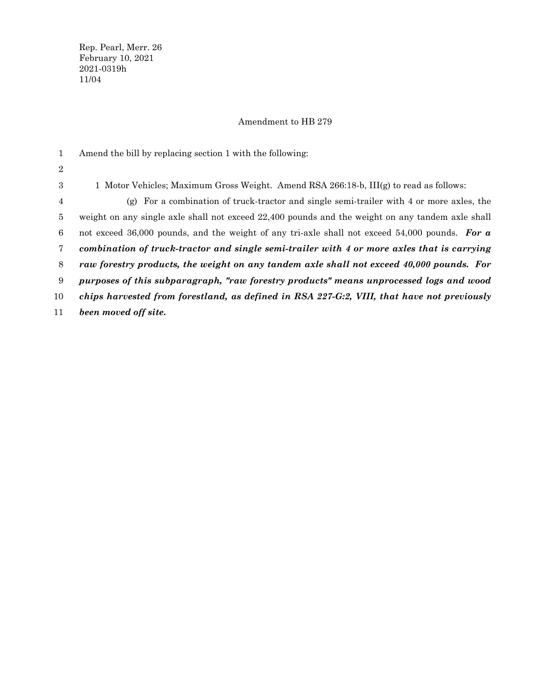Rep. Pearl, Merr. 26 February 10, 2021 2021-0319h 11/04

## Amendment to HB 279

Amend the bill by replacing section 1 with the following: 1 Motor Vehicles; Maximum Gross Weight. Amend RSA 266:18-b, III(g) to read as follows: (g) For a combination of truck-tractor and single semi-trailer with 4 or more axles, the weight on any single axle shall not exceed 22,400 pounds and the weight on any tandem axle shall not exceed 36,000 pounds, and the weight of any tri-axle shall not exceed 54,000 pounds. *For a combination of truck-tractor and single semi-trailer with 4 or more axles that is carrying raw forestry products, the weight on any tandem axle shall not exceed 40,000 pounds. For purposes of this subparagraph, "raw forestry products" means unprocessed logs and wood chips harvested from forestland, as defined in RSA 227-G:2, VIII, that have not previously been moved off site.* 1 2 3 4 5 6 7 8 9 10 11